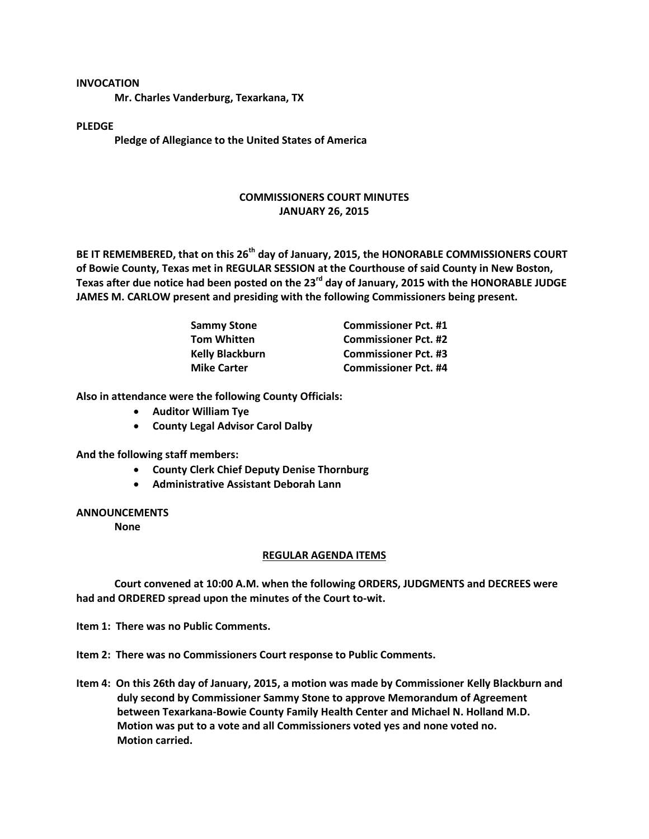#### **INVOCATION**

**Mr. Charles Vanderburg, Texarkana, TX**

## **PLEDGE**

**Pledge of Allegiance to the United States of America**

# **COMMISSIONERS COURT MINUTES JANUARY 26, 2015**

**BE IT REMEMBERED, that on this 26th day of January, 2015, the HONORABLE COMMISSIONERS COURT of Bowie County, Texas met in REGULAR SESSION at the Courthouse of said County in New Boston, Texas after due notice had been posted on the 23rd day of January, 2015 with the HONORABLE JUDGE JAMES M. CARLOW present and presiding with the following Commissioners being present.**

| <b>Sammy Stone</b>     | <b>Commissioner Pct. #1</b> |
|------------------------|-----------------------------|
| <b>Tom Whitten</b>     | <b>Commissioner Pct. #2</b> |
| <b>Kelly Blackburn</b> | <b>Commissioner Pct. #3</b> |
| <b>Mike Carter</b>     | <b>Commissioner Pct. #4</b> |

**Also in attendance were the following County Officials:**

- **Auditor William Tye**
- **County Legal Advisor Carol Dalby**

**And the following staff members:**

- **County Clerk Chief Deputy Denise Thornburg**
- **Administrative Assistant Deborah Lann**

## **ANNOUNCEMENTS**

**None**

## **REGULAR AGENDA ITEMS**

**Court convened at 10:00 A.M. when the following ORDERS, JUDGMENTS and DECREES were had and ORDERED spread upon the minutes of the Court to-wit.**

**Item 1: There was no Public Comments.**

**Item 2: There was no Commissioners Court response to Public Comments.**

**Item 4: On this 26th day of January, 2015, a motion was made by Commissioner Kelly Blackburn and duly second by Commissioner Sammy Stone to approve Memorandum of Agreement between Texarkana-Bowie County Family Health Center and Michael N. Holland M.D. Motion was put to a vote and all Commissioners voted yes and none voted no. Motion carried.**